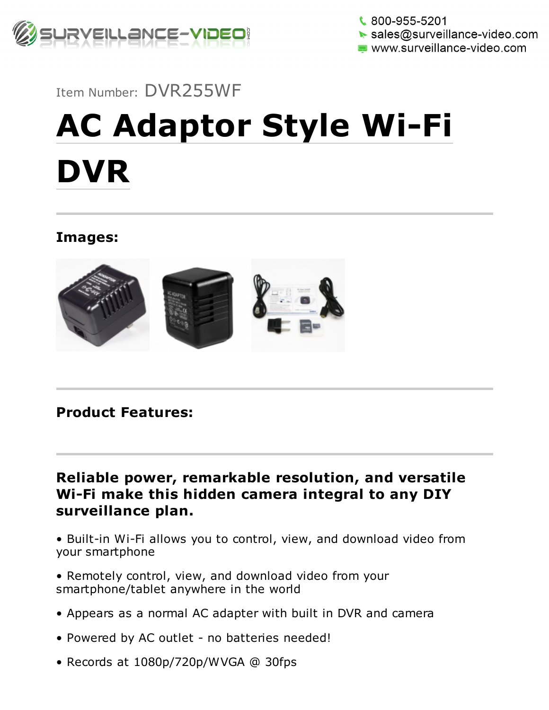

 $\frac{1}{2}$  800-955-5201  $\triangleright$  sales@surveillance-video.com www.surveillance-video.com

Item Number: DVR255WF

## AC Adaptor Style Wi-Fi DVR

Images:



Product Features:

Reliable power, remarkable resolution, and versatile Wi-Fi make this hidden camera integral to any DIY surveillance plan.

• Built-in Wi-Fi allows you to control, view, and download video from your smartphone

• Remotely control, view, and download video from your smartphone/tablet anywhere in the world

- Appears as a normal AC adapter with built in DVR and camera
- Powered by AC outlet no batteries needed!
- Records at 1080p/720p/WVGA @ 30fps